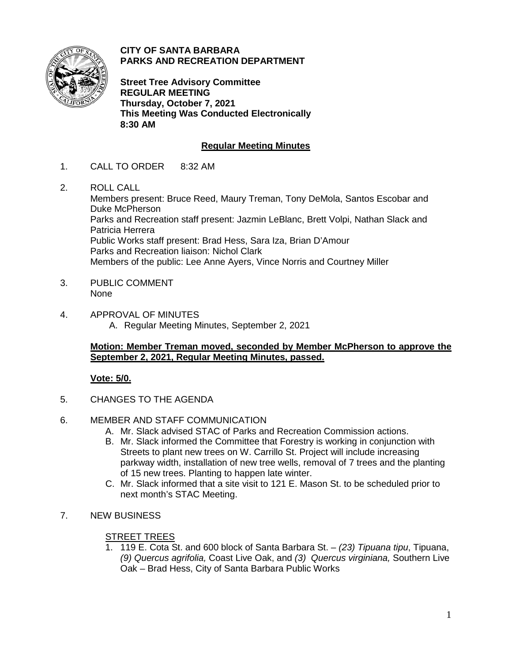

**CITY OF SANTA BARBARA PARKS AND RECREATION DEPARTMENT**

**Street Tree Advisory Committee REGULAR MEETING Thursday, October 7, 2021 This Meeting Was Conducted Electronically 8:30 AM**

# **Regular Meeting Minutes**

- 1. CALL TO ORDER 8:32 AM
- 2. ROLL CALL

Members present: Bruce Reed, Maury Treman, Tony DeMola, Santos Escobar and Duke McPherson Parks and Recreation staff present: Jazmin LeBlanc, Brett Volpi, Nathan Slack and Patricia Herrera Public Works staff present: Brad Hess, Sara Iza, Brian D'Amour Parks and Recreation liaison: Nichol Clark Members of the public: Lee Anne Ayers, Vince Norris and Courtney Miller

- 3. PUBLIC COMMENT None
- 4. APPROVAL OF MINUTES A. Regular Meeting Minutes, September 2, 2021

# **Motion: Member Treman moved, seconded by Member McPherson to approve the September 2, 2021, Regular Meeting Minutes, passed.**

# **Vote: 5/0.**

- 5. CHANGES TO THE AGENDA
- 6. MEMBER AND STAFF COMMUNICATION
	- A. Mr. Slack advised STAC of Parks and Recreation Commission actions.
	- B. Mr. Slack informed the Committee that Forestry is working in conjunction with Streets to plant new trees on W. Carrillo St. Project will include increasing parkway width, installation of new tree wells, removal of 7 trees and the planting of 15 new trees. Planting to happen late winter.
	- C. Mr. Slack informed that a site visit to 121 E. Mason St. to be scheduled prior to next month's STAC Meeting.
- 7. NEW BUSINESS

# STREET TREES

1. 119 E. Cota St. and 600 block of Santa Barbara St. – *(23) Tipuana tipu*, Tipuana, *(9) Quercus agrifolia,* Coast Live Oak, and *(3) Quercus virginiana,* Southern Live Oak – Brad Hess, City of Santa Barbara Public Works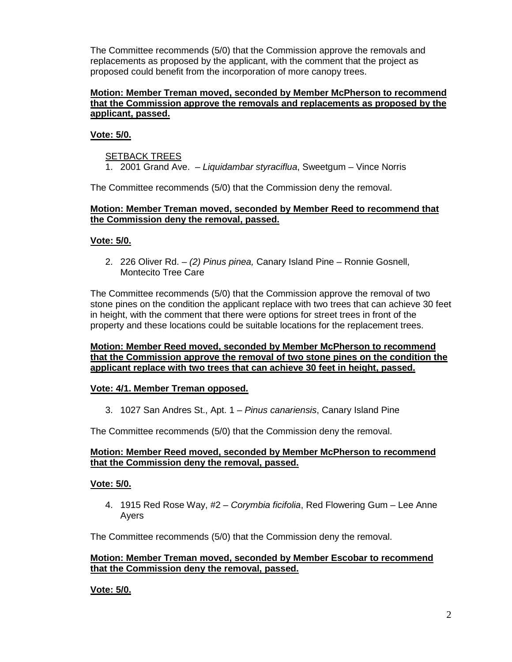The Committee recommends (5/0) that the Commission approve the removals and replacements as proposed by the applicant, with the comment that the project as proposed could benefit from the incorporation of more canopy trees.

#### **Motion: Member Treman moved, seconded by Member McPherson to recommend that the Commission approve the removals and replacements as proposed by the applicant, passed.**

# **Vote: 5/0.**

## SETBACK TREES

1. 2001 Grand Ave. – *Liquidambar styraciflua*, Sweetgum – Vince Norris

The Committee recommends (5/0) that the Commission deny the removal.

## **Motion: Member Treman moved, seconded by Member Reed to recommend that the Commission deny the removal, passed.**

## **Vote: 5/0.**

2. 226 Oliver Rd. – *(2) Pinus pinea,* Canary Island Pine – Ronnie Gosnell, Montecito Tree Care

The Committee recommends (5/0) that the Commission approve the removal of two stone pines on the condition the applicant replace with two trees that can achieve 30 feet in height, with the comment that there were options for street trees in front of the property and these locations could be suitable locations for the replacement trees.

#### **Motion: Member Reed moved, seconded by Member McPherson to recommend that the Commission approve the removal of two stone pines on the condition the applicant replace with two trees that can achieve 30 feet in height, passed.**

#### **Vote: 4/1. Member Treman opposed.**

3. 1027 San Andres St., Apt. 1 – *Pinus canariensis*, Canary Island Pine

The Committee recommends (5/0) that the Commission deny the removal.

## **Motion: Member Reed moved, seconded by Member McPherson to recommend that the Commission deny the removal, passed.**

#### **Vote: 5/0.**

4. 1915 Red Rose Way, #2 – *Corymbia ficifolia*, Red Flowering Gum – Lee Anne Ayers

The Committee recommends (5/0) that the Commission deny the removal.

## **Motion: Member Treman moved, seconded by Member Escobar to recommend that the Commission deny the removal, passed.**

**Vote: 5/0.**